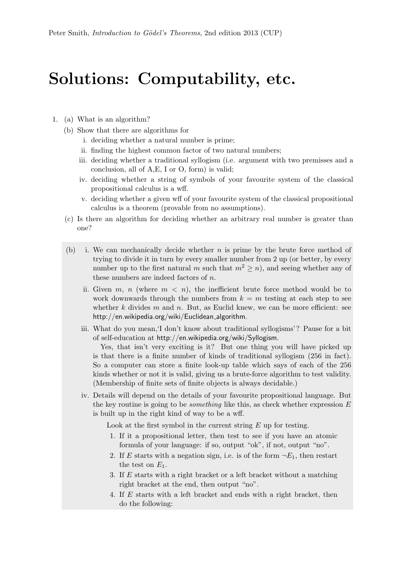## Solutions: Computability, etc.

- 1. (a) What is an algorithm?
	- (b) Show that there are algorithms for
		- i. deciding whether a natural number is prime;
		- ii. finding the highest common factor of two natural numbers;
		- iii. deciding whether a traditional syllogism (i.e. argument with two premisses and a conclusion, all of A,E, I or O, form) is valid;
		- iv. deciding whether a string of symbols of your favourite system of the classical propositional calculus is a wff.
		- v. deciding whether a given wff of your favourite system of the classical propositional calculus is a theorem (provable from no assumptions).
	- (c) Is there an algorithm for deciding whether an arbitrary real number is greater than one?
	- (b) i. We can mechanically decide whether  $n$  is prime by the brute force method of trying to divide it in turn by every smaller number from 2 up (or better, by every number up to the first natural m such that  $m^2 > n$ , and seeing whether any of these numbers are indeed factors of  $n$ .
		- ii. Given m, n (where  $m < n$ ), the inefficient brute force method would be to work downwards through the numbers from  $k = m$  testing at each step to see whether  $k$  divides  $m$  and  $n$ . But, as Euclid knew, we can be more efficient: see http://en.wikipedia.org/wiki/Euclidean\_algorithm.
		- iii. What do you mean,'I don't know about traditional syllogisms'? Pause for a bit of self-education at http://en.wikipedia.org/wiki/Syllogism.

Yes, that isn't very exciting is it? But one thing you will have picked up is that there is a finite number of kinds of traditional syllogism (256 in fact). So a computer can store a finite look-up table which says of each of the 256 kinds whether or not it is valid, giving us a brute-force algorithm to test validity. (Membership of finite sets of finite objects is always decidable.)

iv. Details will depend on the details of your favourite propositional language. But the key routine is going to be *something* like this, as check whether expression  $E$ is built up in the right kind of way to be a wff.

Look at the first symbol in the current string  $E$  up for testing.

- 1. If it a propositional letter, then test to see if you have an atomic formula of your language: if so, output "ok", if not, output "no".
- 2. If E starts with a negation sign, i.e. is of the form  $\neg E_1$ , then restart the test on  $E_1$ .
- 3. If E starts with a right bracket or a left bracket without a matching right bracket at the end, then output "no".
- 4. If E starts with a left bracket and ends with a right bracket, then do the following: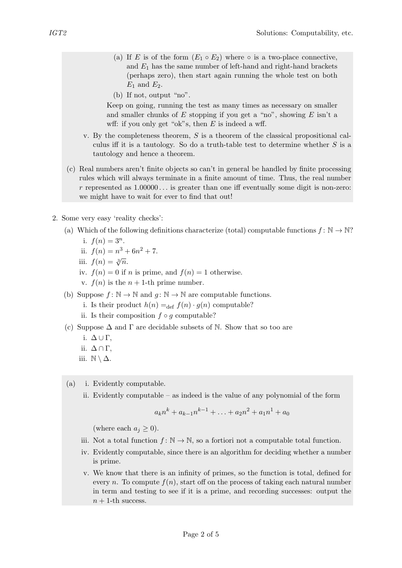- (a) If E is of the form  $(E_1 \circ E_2)$  where  $\circ$  is a two-place connective, and  $E_1$  has the same number of left-hand and right-hand brackets (perhaps zero), then start again running the whole test on both  $E_1$  and  $E_2$ .
- (b) If not, output "no".

Keep on going, running the test as many times as necessary on smaller and smaller chunks of  $E$  stopping if you get a "no", showing  $E$  isn't a wff: if you only get "ok"s, then  $E$  is indeed a wff.

- v. By the completeness theorem,  $S$  is a theorem of the classical propositional calculus iff it is a tautology. So do a truth-table test to determine whether  $S$  is a tautology and hence a theorem.
- (c) Real numbers aren't finite objects so can't in general be handled by finite processing rules which will always terminate in a finite amount of time. Thus, the real number r represented as  $1.00000...$  is greater than one iff eventually some digit is non-zero: we might have to wait for ever to find that out!
- 2. Some very easy 'reality checks':
	- (a) Which of the following definitions characterize (total) computable functions  $f: \mathbb{N} \to \mathbb{N}$ ?
		- i.  $f(n) = 3^n$ .
		- ii.  $f(n) = n^3 + 6n^2 + 7$ .
		- iii.  $f(n) = \sqrt[3]{n}$ .
		- iv.  $f(n) = 0$  if n is prime, and  $f(n) = 1$  otherwise.
		- v.  $f(n)$  is the  $n + 1$ -th prime number.
	- (b) Suppose  $f: \mathbb{N} \to \mathbb{N}$  and  $g: \mathbb{N} \to \mathbb{N}$  are computable functions.
		- i. Is their product  $h(n) =_{\text{def}} f(n) \cdot g(n)$  computable?
		- ii. Is their composition  $f \circ q$  computable?
	- (c) Suppose  $\Delta$  and  $\Gamma$  are decidable subsets of N. Show that so too are
		- i.  $\Delta \cup \Gamma$ ,
		- ii.  $\Delta \cap \Gamma$ ,
		- iii.  $\mathbb{N} \setminus \Delta$ .

(a) i. Evidently computable.

ii. Evidently computable – as indeed is the value of any polynomial of the form

$$
a_k n^k + a_{k-1} n^{k-1} + \ldots + a_2 n^2 + a_1 n^1 + a_0
$$

(where each  $a_j \geq 0$ ).

- iii. Not a total function  $f: \mathbb{N} \to \mathbb{N}$ , so a fortiori not a computable total function.
- iv. Evidently computable, since there is an algorithm for deciding whether a number is prime.
- v. We know that there is an infinity of primes, so the function is total, defined for every n. To compute  $f(n)$ , start off on the process of taking each natural number in term and testing to see if it is a prime, and recording successes: output the  $n + 1$ -th success.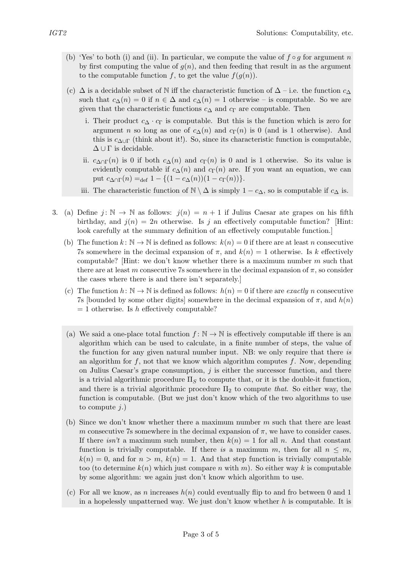- (b) 'Yes' to both (i) and (ii). In particular, we compute the value of  $f \circ g$  for argument n by first computing the value of  $g(n)$ , and then feeding that result in as the argument to the computable function f, to get the value  $f(g(n))$ .
- (c)  $\Delta$  is a decidable subset of N iff the characteristic function of  $\Delta$  i.e. the function  $c_{\Delta}$ such that  $c_{\Delta}(n) = 0$  if  $n \in \Delta$  and  $c_{\Delta}(n) = 1$  otherwise – is computable. So we are given that the characteristic functions  $c_{\Delta}$  and  $c_{\Gamma}$  are computable. Then
	- i. Their product  $c_{\Delta} \cdot c_{\Gamma}$  is computable. But this is the function which is zero for argument *n* so long as one of  $c_{\Delta}(n)$  and  $c_{\Gamma}(n)$  is 0 (and is 1 otherwise). And this is  $c_{\Delta \cup \Gamma}$  (think about it!). So, since its characteristic function is computable,  $\Delta \cup \Gamma$  is decidable.
	- ii.  $c_{\Delta\cap\Gamma}(n)$  is 0 if both  $c_{\Delta}(n)$  and  $c_{\Gamma}(n)$  is 0 and is 1 otherwise. So its value is evidently computable if  $c_{\Delta}(n)$  and  $c_{\Gamma}(n)$  are. If you want an equation, we can put  $c_{\Delta \cap \Gamma}(n) =_{\text{def}} 1 - \{(1 - c_{\Delta}(n))(1 - c_{\Gamma}(n))\}.$
	- iii. The characteristic function of  $\mathbb{N} \setminus \Delta$  is simply  $1 c_\Delta$ , so is computable if  $c_\Delta$  is.
- 3. (a) Define  $j: \mathbb{N} \to \mathbb{N}$  as follows:  $j(n) = n + 1$  if Julius Caesar ate grapes on his fifth birthday, and  $j(n) = 2n$  otherwise. Is j an effectively computable function? [Hint: look carefully at the summary definition of an effectively computable function.]
	- (b) The function  $k: \mathbb{N} \to \mathbb{N}$  is defined as follows:  $k(n) = 0$  if there are at least n consecutive 7s somewhere in the decimal expansion of  $\pi$ , and  $k(n) = 1$  otherwise. Is k effectively computable? [Hint: we don't know whether there is a maximum number  $m$  such that there are at least m consecutive 7s somewhere in the decimal expansion of  $\pi$ , so consider the cases where there is and there isn't separately.]
	- (c) The function  $h: \mathbb{N} \to \mathbb{N}$  is defined as follows:  $h(n) = 0$  if there are *exactly n* consecutive 7s [bounded by some other digits] somewhere in the decimal expansion of  $\pi$ , and  $h(n)$  $= 1$  otherwise. Is h effectively computable?
	- (a) We said a one-place total function  $f: \mathbb{N} \to \mathbb{N}$  is effectively computable iff there is an algorithm which can be used to calculate, in a finite number of steps, the value of the function for any given natural number input. NB: we only require that there is an algorithm for  $f$ , not that we know which algorithm computes  $f$ . Now, depending on Julius Caesar's grape consumption,  $j$  is either the successor function, and there is a trivial algorithmic procedure  $\Pi<sub>S</sub>$  to compute that, or it is the double-it function, and there is a trivial algorithmic procedure  $\Pi_2$  to compute that. So either way, the function is computable. (But we just don't know which of the two algorithms to use to compute  $j.$ )
	- (b) Since we don't know whether there a maximum number m such that there are least m consecutive 7s somewhere in the decimal expansion of  $\pi$ , we have to consider cases. If there isn't a maximum such number, then  $k(n) = 1$  for all n. And that constant function is trivially computable. If there is a maximum m, then for all  $n \leq m$ ,  $k(n) = 0$ , and for  $n > m$ ,  $k(n) = 1$ . And that step function is trivially computable too (to determine  $k(n)$  which just compare n with m). So either way k is computable by some algorithm: we again just don't know which algorithm to use.
	- (c) For all we know, as n increases  $h(n)$  could eventually flip to and fro between 0 and 1 in a hopelessly unpatterned way. We just don't know whether  $h$  is computable. It is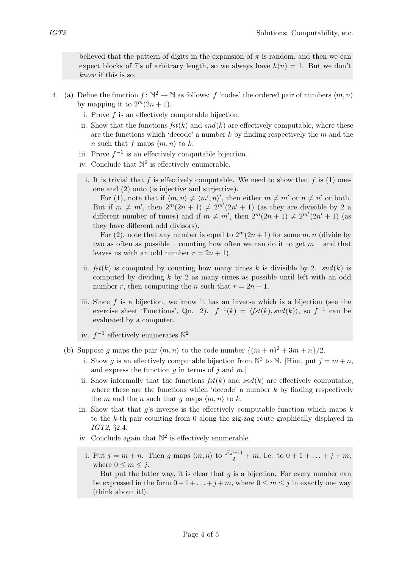believed that the pattern of digits in the expansion of  $\pi$  is random, and then we can expect blocks of 7's of arbitrary length, so we always have  $h(n) = 1$ . But we don't know if this is so.

- 4. (a) Define the function  $f: \mathbb{N}^2 \to \mathbb{N}$  as follows: f 'codes' the ordered pair of numbers  $\langle m, n \rangle$ by mapping it to  $2^m(2n+1)$ .
	- i. Prove f is an effectively computable bijection.
	- ii. Show that the functions  $fst(k)$  and  $snd(k)$  are effectively computable, where these are the functions which 'decode' a number  $k$  by finding respectively the  $m$  and the n such that f maps  $\langle m, n \rangle$  to k.
	- iii. Prove  $f^{-1}$  is an effectively computable bijection.
	- iv. Conclude that  $\mathbb{N}^2$  is effectively enumerable.
		- i. It is trivial that f is effectively computable. We need to show that f is  $(1)$  oneone and (2) onto (is injective and surjective).

For (1), note that if  $\langle m, n \rangle \neq \langle m', n \rangle'$ , then either  $m \neq m'$  or  $n \neq n'$  or both. But if  $m \neq m'$ , then  $2^m(2n+1) \neq 2^{m'}(2n'+1)$  (as they are divisible by 2 a different number of times) and if  $m \neq m'$ , then  $2^m(2n + 1) \neq 2^{m'}(2n' + 1)$  (as they have different odd divisors).

For (2), note that any number is equal to  $2^m(2n+1)$  for some m, n (divide by two as often as possible – counting how often we can do it to get  $m$  – and that leaves us with an odd number  $r = 2n + 1$ .

- ii.  $fst(k)$  is computed by counting how many times k is divisible by 2.  $snd(k)$  is computed by dividing  $k$  by 2 as many times as possible until left with an odd number r, then computing the n such that  $r = 2n + 1$ .
- iii. Since  $f$  is a bijection, we know it has an inverse which is a bijection (see the exercise sheet 'Functions', Qn. 2).  $f^{-1}(k) = \langle fst(k), snd(k) \rangle$ , so  $f^{-1}$  can be evaluated by a computer.
- iv.  $f^{-1}$  effectively enumerates  $\mathbb{N}^2$ .
- (b) Suppose g maps the pair  $\langle m, n \rangle$  to the code number  $\{(m + n)^2 + 3m + n\}/2$ .
	- i. Show g is an effectively computable bijection from  $\mathbb{N}^2$  to  $\mathbb{N}$ . [Hint, put  $j = m + n$ , and express the function  $g$  in terms of  $j$  and  $m$ .]
	- ii. Show informally that the functions  $fst(k)$  and  $snd(k)$  are effectively computable, where these are the functions which 'decode' a number  $k$  by finding respectively the m and the n such that q maps  $\langle m, n \rangle$  to k.
	- iii. Show that that  $q$ 's inverse is the effectively computable function which maps  $k$ to the k-th pair counting from 0 along the zig-zag route graphically displayed in IGT2, §2.4.
	- iv. Conclude again that  $\mathbb{N}^2$  is effectively enumerable.
	- i. Put  $j = m + n$ . Then g maps  $\langle m, n \rangle$  to  $\frac{j(j+1)}{2} + m$ , i.e. to  $0 + 1 + \ldots + j + m$ , where  $0 \leq m \leq j$ .

But put the latter way, it is clear that  $g$  is a bijection. For every number can be expressed in the form  $0+1+\ldots+j+m$ , where  $0 \leq m \leq j$  in exactly one way (think about it!).